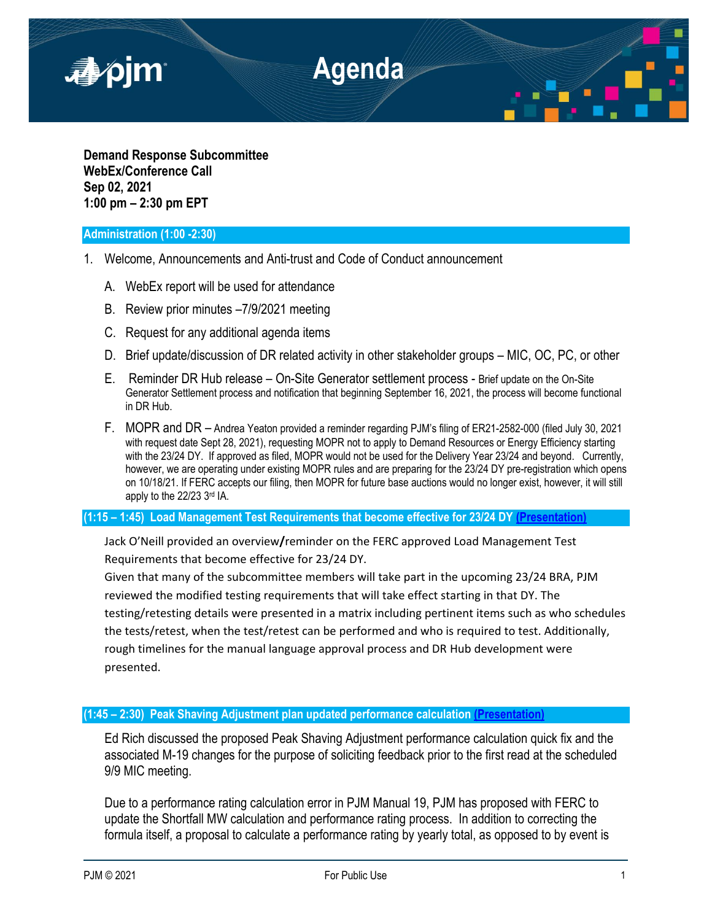

**Demand Response Subcommittee WebEx/Conference Call Sep 02, 2021 1:00 pm – 2:30 pm EPT**

## **Administration (1:00 -2:30)**

- 1. Welcome, Announcements and Anti-trust and Code of Conduct announcement
	- A. WebEx report will be used for attendance
	- B. Review prior minutes –7/9/2021 meeting
	- C. Request for any additional agenda items
	- D. Brief update/discussion of DR related activity in other stakeholder groups MIC, OC, PC, or other
	- E. Reminder DR Hub release On-Site Generator settlement process Brief update on the On-Site Generator Settlement process and notification that beginning September 16, 2021, the process will become functional in DR Hub.
	- F. MOPR and DR Andrea Yeaton provided a reminder regarding PJM's filing of ER21-2582-000 (filed July 30, 2021 with request date Sept 28, 2021), requesting MOPR not to apply to Demand Resources or Energy Efficiency starting with the 23/24 DY. If approved as filed, MOPR would not be used for the Delivery Year 23/24 and beyond. Currently, however, we are operating under existing MOPR rules and are preparing for the 23/24 DY pre-registration which opens on 10/18/21. If FERC accepts our filing, then MOPR for future base auctions would no longer exist, however, it will still apply to the 22/23 3rd IA.

## **(1:15 – 1:45) Load Management Test Requirements that become effective for 23/24 DY [\(Presentation\)](https://www.pjm.com/-/media/committees-groups/subcommittees/drs/2021/20210902/20210902-item-02-pjm-load-management-and-prd-testing-requirements.ashx)**

Jack O'Neill provided an overview**/**reminder on the FERC approved Load Management Test Requirements that become effective for 23/24 DY.

Given that many of the subcommittee members will take part in the upcoming 23/24 BRA, PJM reviewed the modified testing requirements that will take effect starting in that DY. The testing/retesting details were presented in a matrix including pertinent items such as who schedules the tests/retest, when the test/retest can be performed and who is required to test. Additionally, rough timelines for the manual language approval process and DR Hub development were presented.

## **(1:45 – 2:30) Peak Shaving Adjustment plan updated performance calculation [\(Presentation\)](https://www.pjm.com/-/media/committees-groups/subcommittees/drs/2021/20210902/20210902-item-03-peak-shaving-plan-performance-rating.ashx)**

Ed Rich discussed the proposed Peak Shaving Adjustment performance calculation quick fix and the associated M-19 changes for the purpose of soliciting feedback prior to the first read at the scheduled 9/9 MIC meeting.

Due to a performance rating calculation error in PJM Manual 19, PJM has proposed with FERC to update the Shortfall MW calculation and performance rating process. In addition to correcting the formula itself, a proposal to calculate a performance rating by yearly total, as opposed to by event is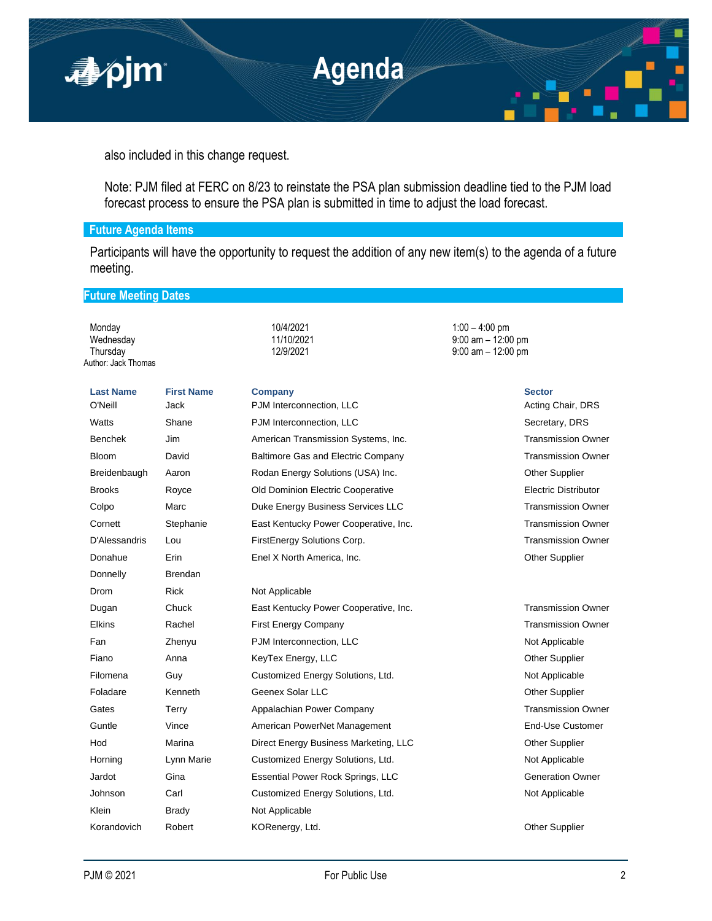

also included in this change request.

Note: PJM filed at FERC on 8/23 to reinstate the PSA plan submission deadline tied to the PJM load forecast process to ensure the PSA plan is submitted in time to adjust the load forecast.

# **Future Agenda Items**

Participants will have the opportunity to request the addition of any new item(s) to the agenda of a future meeting.

 $9:00$  am – 12:00 pm

# **Future Meeting Dates**

Monday 10/4/2021 1:00 – 4:00 pm Wednesday 11/10/2021 9:00 am – 12:00 pm Author: Jack Thomas

| <b>Last Name</b> | <b>First Name</b> | <b>Company</b>                            | <b>Sector</b>               |
|------------------|-------------------|-------------------------------------------|-----------------------------|
| O'Neill          | <b>Jack</b>       | PJM Interconnection, LLC                  | Acting Chair, DRS           |
| Watts            | Shane             | PJM Interconnection, LLC                  | Secretary, DRS              |
| <b>Benchek</b>   | Jim               | American Transmission Systems, Inc.       | <b>Transmission Owner</b>   |
| <b>Bloom</b>     | David             | <b>Baltimore Gas and Electric Company</b> | <b>Transmission Owner</b>   |
| Breidenbaugh     | Aaron             | Rodan Energy Solutions (USA) Inc.         | <b>Other Supplier</b>       |
| <b>Brooks</b>    | Royce             | Old Dominion Electric Cooperative         | <b>Electric Distributor</b> |
| Colpo            | Marc              | Duke Energy Business Services LLC         | <b>Transmission Owner</b>   |
| Cornett          | Stephanie         | East Kentucky Power Cooperative, Inc.     | <b>Transmission Owner</b>   |
| D'Alessandris    | Lou               | FirstEnergy Solutions Corp.               | <b>Transmission Owner</b>   |
| Donahue          | Erin              | Enel X North America, Inc.                | <b>Other Supplier</b>       |
| Donnelly         | <b>Brendan</b>    |                                           |                             |
| Drom             | <b>Rick</b>       | Not Applicable                            |                             |
| Dugan            | Chuck             | East Kentucky Power Cooperative, Inc.     | <b>Transmission Owner</b>   |
| <b>Elkins</b>    | Rachel            | <b>First Energy Company</b>               | <b>Transmission Owner</b>   |
| Fan              | Zhenyu            | PJM Interconnection, LLC                  | Not Applicable              |
| Fiano            | Anna              | KeyTex Energy, LLC                        | <b>Other Supplier</b>       |
| Filomena         | Guy               | Customized Energy Solutions, Ltd.         | Not Applicable              |
| Foladare         | Kenneth           | Geenex Solar LLC                          | <b>Other Supplier</b>       |
| Gates            | Terry             | Appalachian Power Company                 | <b>Transmission Owner</b>   |
| Guntle           | Vince             | American PowerNet Management              | End-Use Customer            |
| Hod              | Marina            | Direct Energy Business Marketing, LLC     | <b>Other Supplier</b>       |
| Horning          | Lynn Marie        | Customized Energy Solutions, Ltd.         | Not Applicable              |
| Jardot           | Gina              | Essential Power Rock Springs, LLC         | <b>Generation Owner</b>     |
| Johnson          | Carl              | Customized Energy Solutions, Ltd.         | Not Applicable              |
| Klein            | <b>Brady</b>      | Not Applicable                            |                             |
| Korandovich      | Robert            | KORenergy, Ltd.                           | <b>Other Supplier</b>       |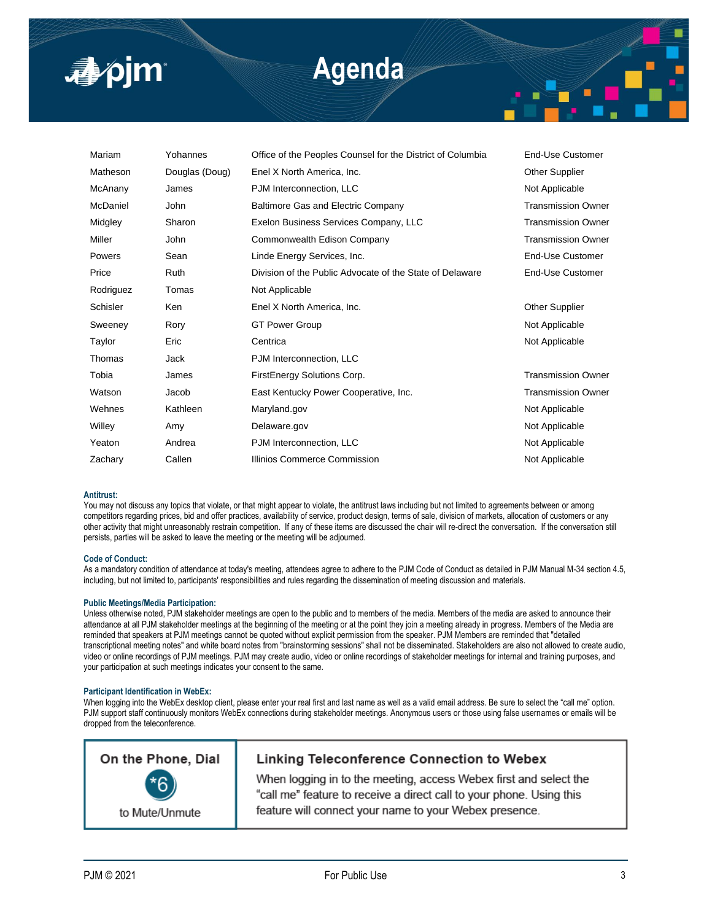

# **Agenda**

| Mariam    | Yohannes       | Office of the Peoples Counsel for the District of Columbia | End-Use Customer          |
|-----------|----------------|------------------------------------------------------------|---------------------------|
| Matheson  | Douglas (Doug) | Enel X North America, Inc.                                 | <b>Other Supplier</b>     |
| McAnany   | James          | PJM Interconnection, LLC                                   | Not Applicable            |
| McDaniel  | John           | <b>Baltimore Gas and Electric Company</b>                  | <b>Transmission Owner</b> |
| Midgley   | Sharon         | Exelon Business Services Company, LLC                      | <b>Transmission Owner</b> |
| Miller    | John           | Commonwealth Edison Company                                | <b>Transmission Owner</b> |
| Powers    | Sean           | Linde Energy Services, Inc.                                | End-Use Customer          |
| Price     | <b>Ruth</b>    | Division of the Public Advocate of the State of Delaware   | End-Use Customer          |
| Rodriguez | Tomas          | Not Applicable                                             |                           |
| Schisler  | Ken            | Enel X North America, Inc.                                 | Other Supplier            |
| Sweeney   | Rory           | <b>GT Power Group</b>                                      | Not Applicable            |
| Taylor    | Eric           | Centrica                                                   | Not Applicable            |
| Thomas    | Jack           | PJM Interconnection, LLC                                   |                           |
| Tobia     | James          | FirstEnergy Solutions Corp.                                | <b>Transmission Owner</b> |
| Watson    | Jacob          | East Kentucky Power Cooperative, Inc.                      | <b>Transmission Owner</b> |
| Wehnes    | Kathleen       | Maryland.gov                                               | Not Applicable            |
| Willey    | Amy            | Delaware.gov                                               | Not Applicable            |
| Yeaton    | Andrea         | PJM Interconnection, LLC                                   | Not Applicable            |
| Zachary   | Callen         | Illinios Commerce Commission                               | Not Applicable            |
|           |                |                                                            |                           |

## **Antitrust:**

You may not discuss any topics that violate, or that might appear to violate, the antitrust laws including but not limited to agreements between or among competitors regarding prices, bid and offer practices, availability of service, product design, terms of sale, division of markets, allocation of customers or any other activity that might unreasonably restrain competition. If any of these items are discussed the chair will re-direct the conversation. If the conversation still persists, parties will be asked to leave the meeting or the meeting will be adjourned.

#### **Code of Conduct:**

As a mandatory condition of attendance at today's meeting, attendees agree to adhere to the PJM Code of Conduct as detailed in PJM Manual M-34 section 4.5, including, but not limited to, participants' responsibilities and rules regarding the dissemination of meeting discussion and materials.

### **Public Meetings/Media Participation:**

Unless otherwise noted, PJM stakeholder meetings are open to the public and to members of the media. Members of the media are asked to announce their attendance at all PJM stakeholder meetings at the beginning of the meeting or at the point they join a meeting already in progress. Members of the Media are reminded that speakers at PJM meetings cannot be quoted without explicit permission from the speaker. PJM Members are reminded that "detailed transcriptional meeting notes" and white board notes from "brainstorming sessions" shall not be disseminated. Stakeholders are also not allowed to create audio, video or online recordings of PJM meetings. PJM may create audio, video or online recordings of stakeholder meetings for internal and training purposes, and your participation at such meetings indicates your consent to the same.

### **Participant Identification in WebEx:**

When logging into the WebEx desktop client, please enter your real first and last name as well as a valid email address. Be sure to select the "call me" option. PJM support staff continuously monitors WebEx connections during stakeholder meetings. Anonymous users or those using false usernames or emails will be dropped from the teleconference.